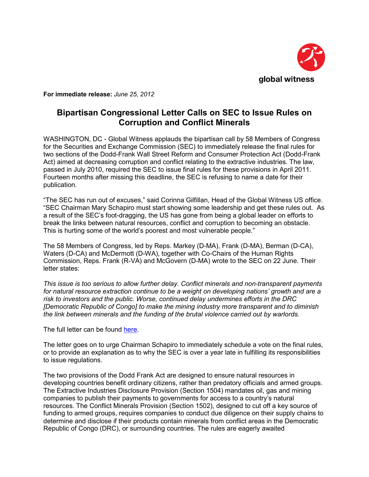

**For immediate release:** *June 25, 2012* 

## **Bipartisan Congressional Letter Calls on SEC to Issue Rules on Corruption and Conflict Minerals**

WASHINGTON, DC - Global Witness applauds the bipartisan call by 58 Members of Congress for the Securities and Exchange Commission (SEC) to immediately release the final rules for two sections of the Dodd-Frank Wall Street Reform and Consumer Protection Act (Dodd-Frank Act) aimed at decreasing corruption and conflict relating to the extractive industries. The law, passed in July 2010, required the SEC to issue final rules for these provisions in April 2011. Fourteen months after missing this deadline, the SEC is refusing to name a date for their publication.

"The SEC has run out of excuses," said Corinna Gilfillan, Head of the Global Witness US office. "SEC Chairman Mary Schapiro must start showing some leadership and get these rules out. As a result of the SEC's foot-dragging, the US has gone from being a global leader on efforts to break the links between natural resources, conflict and corruption to becoming an obstacle. This is hurting some of the world's poorest and most vulnerable people."

The 58 Members of Congress, led by Reps. Markey (D-MA), Frank (D-MA), Berman (D-CA), Waters (D-CA) and McDermott (D-WA), together with Co-Chairs of the Human Rights Commission, Reps. Frank (R-VA) and McGovern (D-MA) wrote to the SEC on 22 June. Their letter states:

*This issue is too serious to allow further delay. Conflict minerals and non-transparent payments for natural resource extraction continue to be a weight on developing nations' growth and are a risk to investors and the public. Worse, continued delay undermines efforts in the DRC [Democratic Republic of Congo] to make the mining industry more transparent and to diminish the link between minerals and the funding of the brutal violence carried out by warlords.* 

The full letter can be found [here](http://democrats.naturalresources.house.gov/sites/democrats.naturalresources.house.gov/files/documents/2012-06-22_SEC_ChairmanSchapiro_ProtectPowerless.pdf).

The letter goes on to urge Chairman Schapiro to immediately schedule a vote on the final rules, or to provide an explanation as to why the SEC is over a year late in fulfilling its responsibilities to issue regulations.

The two provisions of the Dodd Frank Act are designed to ensure natural resources in developing countries benefit ordinary citizens, rather than predatory officials and armed groups. The Extractive Industries Disclosure Provision (Section 1504) mandates oil, gas and mining companies to publish their payments to governments for access to a country's natural resources. The Conflict Minerals Provision (Section 1502), designed to cut off a key source of funding to armed groups, requires companies to conduct due diligence on their supply chains to determine and disclose if their products contain minerals from conflict areas in the Democratic Republic of Congo (DRC), or surrounding countries. The rules are eagerly awaited